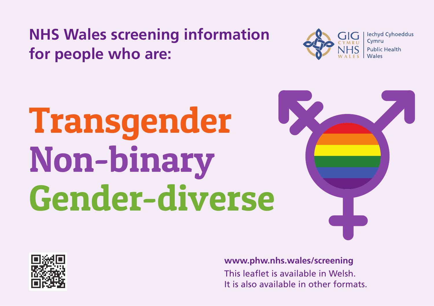**NHS Wales screening information for people who are:**



# **Transgender Non-binary Gender-diverse**





**[www.phw.nhs.wales/screening](http://www.uniquetg.org.uk)** This leaflet is available in Welsh. It is also available in other formats.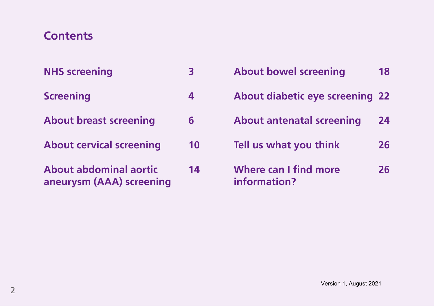## **Contents**

| <b>NHS screening</b> |  |
|----------------------|--|
| <b>Screening</b>     |  |

- **About breast screening 6**
- **About cervical screening 10**
- **About abdominal aortic 14 aneurysm (AAA) screening**

| <b>About bowel screening</b>           | 18 |
|----------------------------------------|----|
| <b>About diabetic eye screening 22</b> |    |
| <b>About antenatal screening</b>       | 24 |
| Tell us what you think                 | 26 |
| Where can I find more<br>information?  | 26 |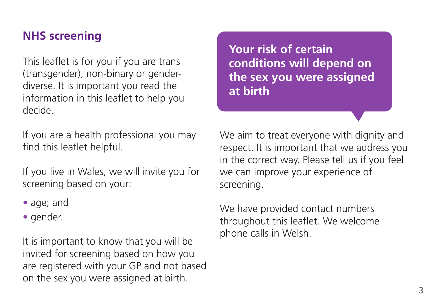## **NHS screening**

This leaflet is for you if you are trans (transgender), non-binary or genderdiverse. It is important you read the information in this leaflet to help you decide.

If you are a health professional you may find this leaflet helpful.

If you live in Wales, we will invite you for screening based on your:

- age; and
- gender.

It is important to know that you will be invited for screening based on how you are registered with your GP and not based on the sex you were assigned at birth.

**Your risk of certain conditions will depend on the sex you were assigned at birth**

We aim to treat everyone with dignity and respect. It is important that we address you in the correct way. Please tell us if you feel we can improve your experience of screening.

We have provided contact numbers throughout this leaflet. We welcome phone calls in Welsh.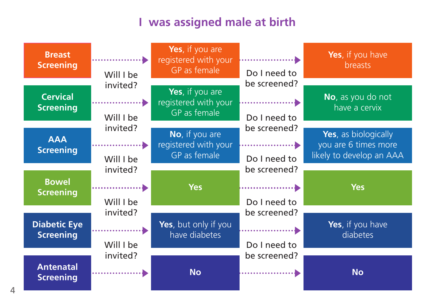## **I was assigned male at birth**

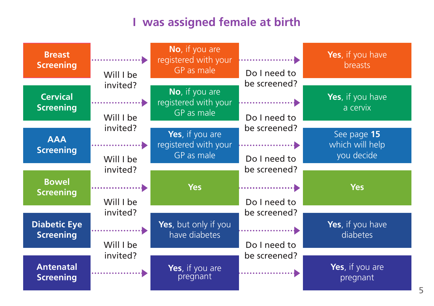#### **I** was assigned female at birth

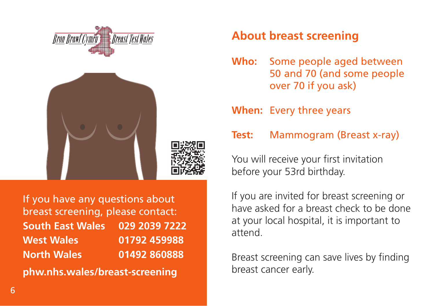

If you have any questions about breast screening, please contact: **South East Wales 029 2039 7222 West Wales 01792 459988 North Wales 01492 860888**

**[phw.nhs.wales/breast-screening](http://www.phw.nhs.wales/breast-screening)**

## **About breast screening**

**Who:** Some people aged between 50 and 70 (and some people over 70 if you ask)

**When:** Every three years

**Test:** Mammogram (Breast x-ray)

You will receive your first invitation before your 53rd birthday.

If you are invited for breast screening or have asked for a breast check to be done at your local hospital, it is important to attend.

Breast screening can save lives by finding breast cancer early.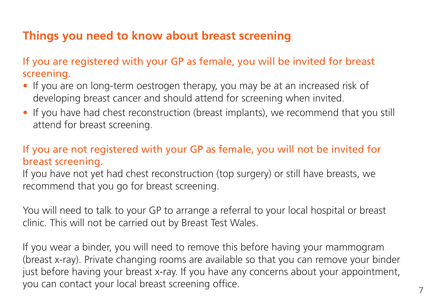## **Things you need to know about breast screening**

If you are registered with your GP as female, you will be invited for breast screening.

- If you are on long-term oestrogen therapy, you may be at an increased risk of developing breast cancer and should attend for screening when invited.
- If you have had chest reconstruction (breast implants), we recommend that you still attend for breast screening.

### If you are not registered with your GP as female, you will not be invited for breast screening.

If you have not yet had chest reconstruction (top surgery) or still have breasts, we recommend that you go for breast screening.

You will need to talk to your GP to arrange a referral to your local hospital or breast clinic. This will not be carried out by Breast Test Wales.

If you wear a binder, you will need to remove this before having your mammogram (breast x-ray). Private changing rooms are available so that you can remove your binder just before having your breast x-ray. If you have any concerns about your appointment, you can contact your local breast screening office.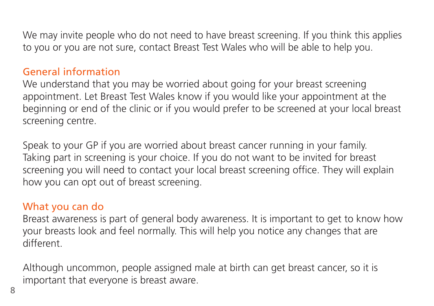We may invite people who do not need to have breast screening. If you think this applies to you or you are not sure, contact Breast Test Wales who will be able to help you.

#### General information

We understand that you may be worried about going for your breast screening appointment. Let Breast Test Wales know if you would like your appointment at the beginning or end of the clinic or if you would prefer to be screened at your local breast screening centre.

Speak to your GP if you are worried about breast cancer running in your family. Taking part in screening is your choice. If you do not want to be invited for breast screening you will need to contact your local breast screening office. They will explain how you can opt out of breast screening.

#### What you can do

Breast awareness is part of general body awareness. It is important to get to know how your breasts look and feel normally. This will help you notice any changes that are different.

Although uncommon, people assigned male at birth can get breast cancer, so it is important that everyone is breast aware.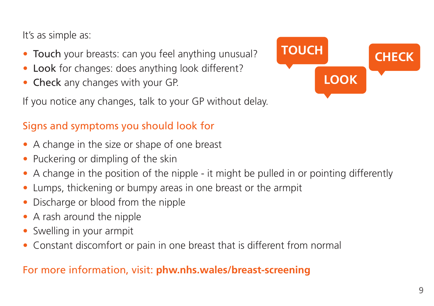It's as simple as:

- Touch your breasts: can you feel anything unusual?
- Look for changes: does anything look different?
- Check any changes with your GP.

If you notice any changes, talk to your GP without delay.

## Signs and symptoms you should look for

- A change in the size or shape of one breast
- Puckering or dimpling of the skin
- A change in the position of the nipple it might be pulled in or pointing differently
- Lumps, thickening or bumpy areas in one breast or the armpit
- Discharge or blood from the nipple
- A rash around the nipple
- Swelling in your armpit
- Constant discomfort or pain in one breast that is different from normal

## For more information, visit: **[phw.nhs.wales/breast-screening](http://www.phw.nhs.wales/breast-screening)**

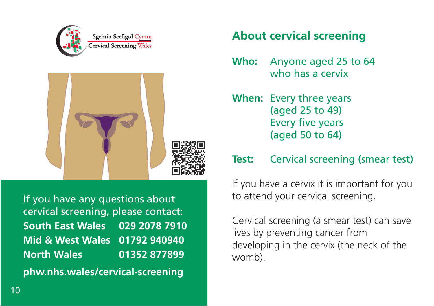



If you have any questions about cervical screening, please contact: **South East Wales 029 2078 7910 Mid & West Wales 01792 940940 North Wales 01352 877899 [phw.nhs.wales/cervical-screening](http://www.phw.nhs.wales/cervical-screening)**

## **About cervical screening**

**Who:** Anyone aged 25 to 64 who has a cervix

**When:** Every three years (aged 25 to 49) Every five years (aged 50 to 64)

## **Test:** Cervical screening (smear test)

If you have a cervix it is important for you to attend your cervical screening.

Cervical screening (a smear test) can save lives by preventing cancer from developing in the cervix (the neck of the womb).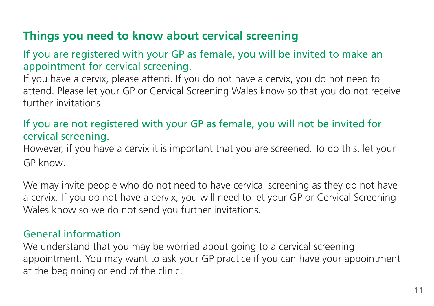## **Things you need to know about cervical screening**

#### If you are registered with your GP as female, you will be invited to make an appointment for cervical screening.

If you have a cervix, please attend. If you do not have a cervix, you do not need to attend. Please let your GP or Cervical Screening Wales know so that you do not receive further invitations.

### If you are not registered with your GP as female, you will not be invited for cervical screening.

However, if you have a cervix it is important that you are screened. To do this, let your GP know.

We may invite people who do not need to have cervical screening as they do not have a cervix. If you do not have a cervix, you will need to let your GP or Cervical Screening Wales know so we do not send you further invitations.

#### General information

We understand that you may be worried about going to a cervical screening appointment. You may want to ask your GP practice if you can have your appointment at the beginning or end of the clinic.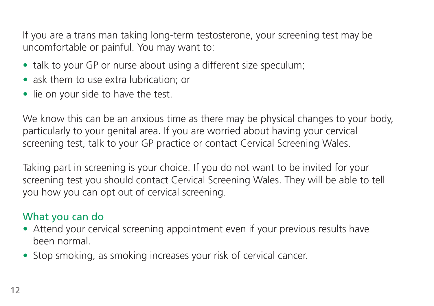If you are a trans man taking long-term testosterone, your screening test may be uncomfortable or painful. You may want to:

- talk to your GP or nurse about using a different size speculum;
- ask them to use extra lubrication; or
- lie on your side to have the test.

We know this can be an anxious time as there may be physical changes to your body, particularly to your genital area. If you are worried about having your cervical screening test, talk to your GP practice or contact Cervical Screening Wales.

Taking part in screening is your choice. If you do not want to be invited for your screening test you should contact Cervical Screening Wales. They will be able to tell you how you can opt out of cervical screening.

### What you can do

- Attend your cervical screening appointment even if your previous results have been normal.
- Stop smoking, as smoking increases your risk of cervical cancer.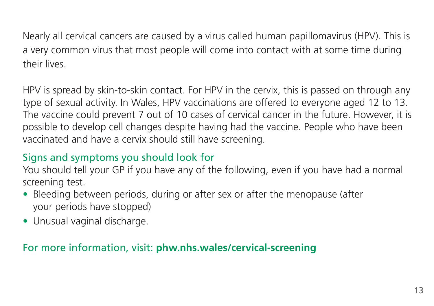Nearly all cervical cancers are caused by a virus called human papillomavirus (HPV). This is a very common virus that most people will come into contact with at some time during their lives.

HPV is spread by skin-to-skin contact. For HPV in the cervix, this is passed on through any type of sexual activity. In Wales, HPV vaccinations are offered to everyone aged 12 to 13. The vaccine could prevent 7 out of 10 cases of cervical cancer in the future. However, it is possible to develop cell changes despite having had the vaccine. People who have been vaccinated and have a cervix should still have screening.

## Signs and symptoms you should look for

You should tell your GP if you have any of the following, even if you have had a normal screening test.

- Bleeding between periods, during or after sex or after the menopause (after your periods have stopped)
- Unusual vaginal discharge.

### For more information, visit: **[phw.nhs.wales/cervical-screening](http://www.phw.nhs.wales/cervical-screening)**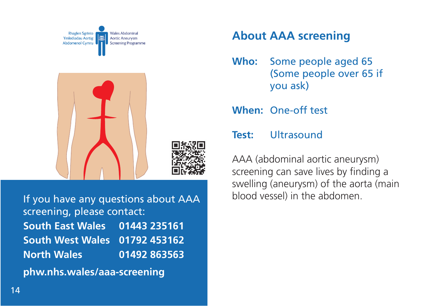

If you have any questions about AAA blood vessel) in the abdomen. screening, please contact: **South East Wales 01443 235161 South West Wales 01792 453162 North Wales 01492 863563 [phw.nhs.wales/aaa-screening](http://www.phw.nhs.wales/aaa-screening)**

## **About AAA screening**

**Who:** Some people aged 65 (Some people over 65 if you ask)

**When:** One-off test

#### **Test:** Ultrasound

AAA (abdominal aortic aneurysm) screening can save lives by finding a swelling (aneurysm) of the aorta (main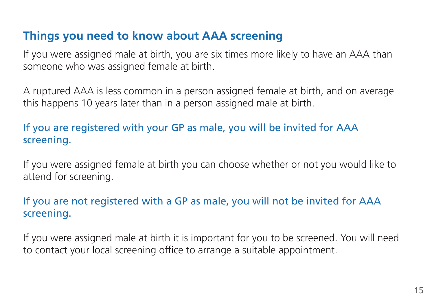## **Things you need to know about AAA screening**

If you were assigned male at birth, you are six times more likely to have an AAA than someone who was assigned female at birth.

A ruptured AAA is less common in a person assigned female at birth, and on average this happens 10 years later than in a person assigned male at birth.

## If you are registered with your GP as male, you will be invited for AAA screening.

If you were assigned female at birth you can choose whether or not you would like to attend for screening.

### If you are not registered with a GP as male, you will not be invited for AAA screening.

If you were assigned male at birth it is important for you to be screened. You will need to contact your local screening office to arrange a suitable appointment.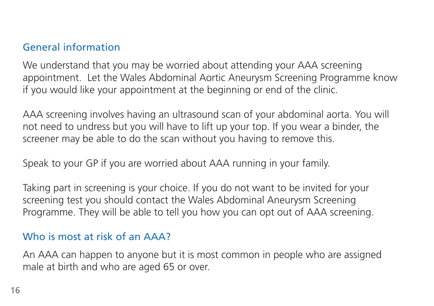## General information

We understand that you may be worried about attending your AAA screening appointment. Let the Wales Abdominal Aortic Aneurysm Screening Programme know if you would like your appointment at the beginning or end of the clinic.

AAA screening involves having an ultrasound scan of your abdominal aorta. You will not need to undress but you will have to lift up your top. If you wear a binder, the screener may be able to do the scan without you having to remove this.

Speak to your GP if you are worried about AAA running in your family.

Taking part in screening is your choice. If you do not want to be invited for your screening test you should contact the Wales Abdominal Aneurysm Screening Programme. They will be able to tell you how you can opt out of AAA screening.

#### Who is most at risk of an AAA?

An AAA can happen to anyone but it is most common in people who are assigned male at birth and who are aged 65 or over.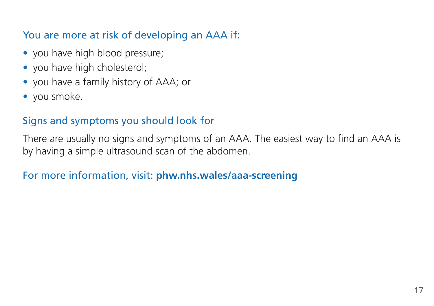## You are more at risk of developing an AAA if:

- you have high blood pressure;
- you have high cholesterol;
- you have a family history of AAA; or
- you smoke.

## Signs and symptoms you should look for

There are usually no signs and symptoms of an AAA. The easiest way to find an AAA is by having a simple ultrasound scan of the abdomen.

### For more information, visit: **[phw.nhs.wales/aaa-screening](http://www.phw.nhs.wales/aaa-screening)**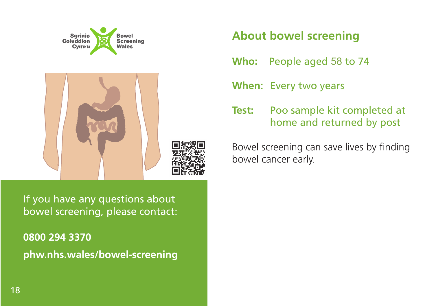

If you have any questions about bowel screening, please contact:

**0800 294 3370 [phw.nhs.wales/bowel-screening](http://www.phw.nhs.wales/bowel-screening)**

## **About bowel screening**

**Who:** People aged 58 to 74

**When:** Every two years

**Test:** Poo sample kit completed at home and returned by post

Bowel screening can save lives by finding bowel cancer early.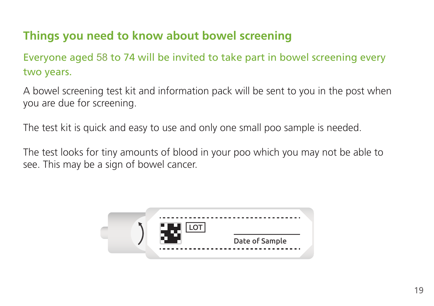## **Things you need to know about bowel screening**

Everyone aged 58 to 74 will be invited to take part in bowel screening every two years.

A bowel screening test kit and information pack will be sent to you in the post when you are due for screening.

The test kit is quick and easy to use and only one small poo sample is needed.

The test looks for tiny amounts of blood in your poo which you may not be able to see. This may be a sign of bowel cancer.

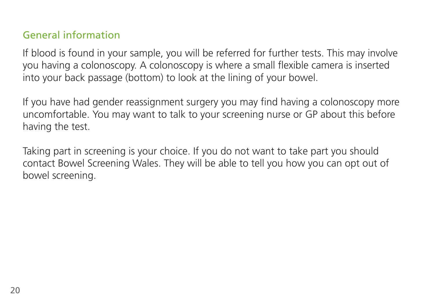## General information

If blood is found in your sample, you will be referred for further tests. This may involve you having a colonoscopy. A colonoscopy is where a small flexible camera is inserted into your back passage (bottom) to look at the lining of your bowel.

If you have had gender reassignment surgery you may find having a colonoscopy more uncomfortable. You may want to talk to your screening nurse or GP about this before having the test.

Taking part in screening is your choice. If you do not want to take part you should contact Bowel Screening Wales. They will be able to tell you how you can opt out of bowel screening.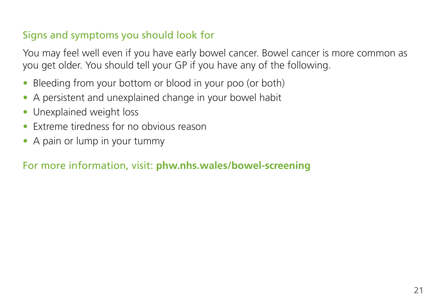## Signs and symptoms you should look for

You may feel well even if you have early bowel cancer. Bowel cancer is more common as you get older. You should tell your GP if you have any of the following.

- Bleeding from your bottom or blood in your poo (or both)
- A persistent and unexplained change in your bowel habit
- Unexplained weight loss
- Extreme tiredness for no obvious reason
- A pain or lump in your tummy

## For more information, visit: **[phw.nhs.wales/bowel-screening](http://www.phw.nhs.wales/bowel-screening)**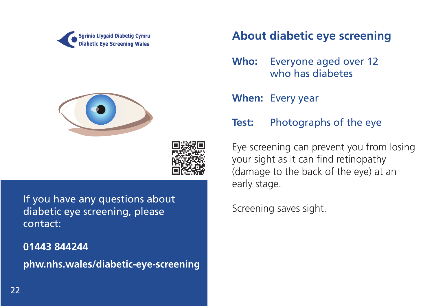





If you have any questions about<br>
diabetic eve screening please<br>
Screening saves sight. diabetic eye screening, please contact:

**01443 844244 [phw.nhs.wales/diabetic-eye-screening](http://www.phw.nhs.wales/diabetic-eye-screening)**

## **About diabetic eye screening**

- **Who:** Everyone aged over 12 who has diabetes
- **When:** Every year

#### **Test:** Photographs of the eye

Eye screening can prevent you from losing your sight as it can find retinopathy (damage to the back of the eye) at an early stage.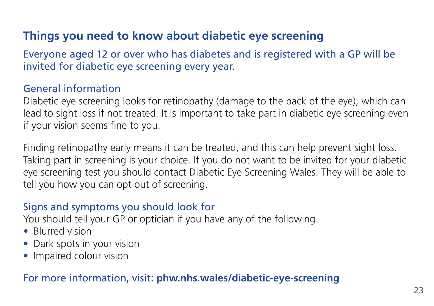## **Things you need to know about diabetic eye screening**

Everyone aged 12 or over who has diabetes and is registered with a GP will be invited for diabetic eye screening every year.

#### General information

Diabetic eye screening looks for retinopathy (damage to the back of the eye), which can lead to sight loss if not treated. It is important to take part in diabetic eye screening even if your vision seems fine to you.

Finding retinopathy early means it can be treated, and this can help prevent sight loss. Taking part in screening is your choice. If you do not want to be invited for your diabetic eye screening test you should contact Diabetic Eye Screening Wales. They will be able to tell you how you can opt out of screening.

### Signs and symptoms you should look for

You should tell your GP or optician if you have any of the following.

- Blurred vision
- Dark spots in your vision
- Impaired colour vision

#### For more information, visit: **[phw.nhs.wales/diabetic-eye-screening](http://www.phw.nhs.wales/diabetic-eye-screening)**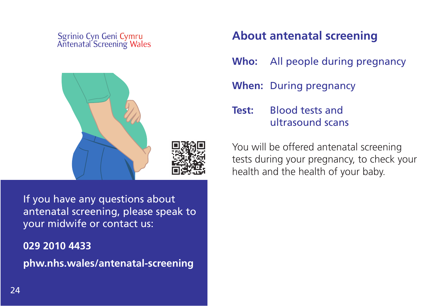## Sgrinio Cyn Geni Cymru<br>Antenatal Screening Wales



If you have any questions about antenatal screening, please speak to your midwife or contact us:

**029 2010 4433 [phw.nhs.wales/antenatal-screening](http://www.phw.nhs.wales/antenatal-screening)**

## **About antenatal screening**

**Who:** All people during pregnancy

**When:** During pregnancy

**Test:** Blood tests and ultrasound scans

You will be offered antenatal screening tests during your pregnancy, to check your health and the health of your baby.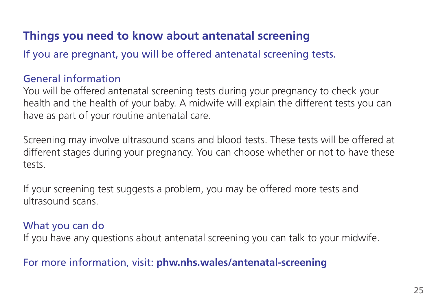## **Things you need to know about antenatal screening**

If you are pregnant, you will be offered antenatal screening tests.

#### General information

You will be offered antenatal screening tests during your pregnancy to check your health and the health of your baby. A midwife will explain the different tests you can have as part of your routine antenatal care.

Screening may involve ultrasound scans and blood tests. These tests will be offered at different stages during your pregnancy. You can choose whether or not to have these tests.

If your screening test suggests a problem, you may be offered more tests and ultrasound scans.

#### What you can do

If you have any questions about antenatal screening you can talk to your midwife.

#### For more information, visit: **[phw.nhs.wales/antenatal-screening](http://www.phw.nhs.wales/antenatal-screening)**